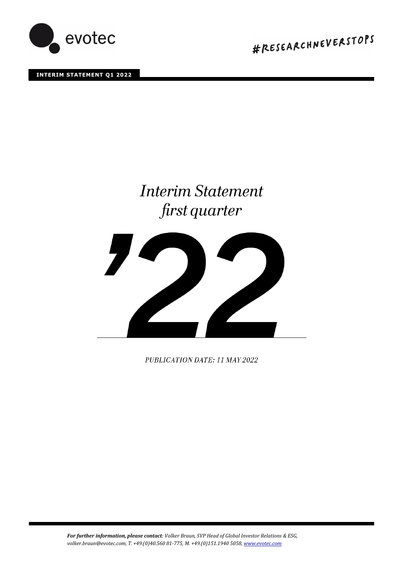

**INTERIM STATEMENT Q1 2022** 

#RESEARCHNEVERSTOPS

# **Interim Statement** first quarter



PUBLICATION DATE: 11 MAY 2022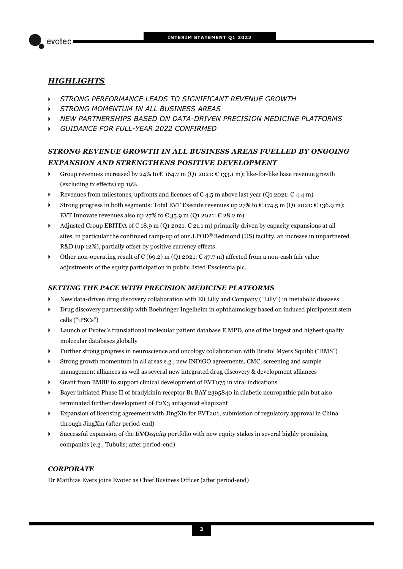

## *HIGHLIGHTS*

- *STRONG PERFORMANCE LEADS TO SIGNIFICANT REVENUE GROWTH*
- *STRONG MOMENTUM IN ALL BUSINESS AREAS*
- *NEW PARTNERSHIPS BASED ON DATA-DRIVEN PRECISION MEDICINE PLATFORMS*
- *GUIDANCE FOR FULL-YEAR 2022 CONFIRMED*

# *STRONG REVENUE GROWTH IN ALL BUSINESS AREAS FUELLED BY ONGOING EXPANSION AND STRENGTHENS POSITIVE DEVELOPMENT*

- For Group revenues increased by 24% to  $\epsilon$  164.7 m (Q1 2021:  $\epsilon$  133.1 m); like-for-like base revenue growth (excluding fx effects) up 19%
- Revenues from milestones, upfronts and licenses of  $\mathfrak{C}$  4.5 m above last year (Q1 2021:  $\mathfrak{C}$  4.4 m)
- Strong progress in both segments: Total EVT Execute revenues up 27% to  $\epsilon$  174.5 m (O1 2021:  $\epsilon$  136.9 m); EVT Innovate revenues also up 27% to  $\text{\textsterling}$  35.9 m (Q1 2021:  $\text{\textsterling}$  28.2 m)
- Adjusted Group EBITDA of  $\epsilon$  18.9 m (Q1 2021:  $\epsilon$  21.1 m) primarily driven by capacity expansions at all sites, in particular the continued ramp-up of our J.POD® Redmond (US) facility, an increase in unpartnered R&D (up 12%), partially offset by positive currency effects
- $\triangleright$  Other non-operating result of € (69.2) m (Q1 2021: € 47.7 m) affected from a non-cash fair value adjustments of the equity participation in public listed Exscientia plc.

## *SETTING THE PACE WITH PRECISION MEDICINE PLATFORMS*

- New data-driven drug discovery collaboration with Eli Lilly and Company ("Lilly") in metabolic diseases
- Drug discovery partnership with Boehringer Ingelheim in ophthalmology based on induced pluripotent stem cells ("iPSCs")
- Launch of Evotec's translational molecular patient database E.MPD, one of the largest and highest quality molecular databases globally
- Further strong progress in neuroscience and oncology collaboration with Bristol Myers Squibb ("BMS")
- Strong growth momentum in all areas e.g., new INDiGO agreements, CMC, screening and sample management alliances as well as several new integrated drug discovery & development alliances
- Grant from BMBF to support clinical development of EVT075 in viral indications
- Bayer initiated Phase II of bradykinin receptor B1 BAY 2395840 in diabetic neuropathic pain but also terminated further development of P2X3 antagonist eliapixant
- Expansion of licensing agreement with JingXin for EVT201, submission of regulatory approval in China through JingXin (after period-end)
- Successful expansion of the **EVO***equity* portfolio with new equity stakes in several highly promising companies (e.g., Tubulis; after period-end)

## *CORPORATE*

Dr Matthias Evers joins Evotec as Chief Business Officer (after period-end)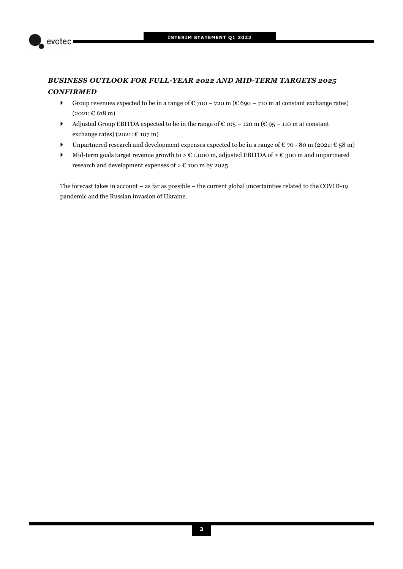

# *BUSINESS OUTLOOK FOR FULL-YEAR 2022 AND MID-TERM TARGETS 2025 CONFIRMED*

- Group revenues expected to be in a range of  $\mathfrak{C}$  700 720 m ( $\mathfrak{C}$  690 710 m at constant exchange rates)  $(2021: \text{€ }618 \text{ m})$
- Adjusted Group EBITDA expected to be in the range of  $\epsilon$  105 120 m ( $\epsilon$  95 110 m at constant exchange rates) (2021:  $\text{\textsterling}$  107 m)
- ▶ Unpartnered research and development expenses expected to be in a range of  $\epsilon$  70 80 m (2021:  $\epsilon$  58 m)
- Mid-term goals target revenue growth to > € 1,000 m, adjusted EBITDA of ≥ € 300 m and unpartnered research and development expenses of  $> \mathbb{C}$  100 m by 2025

The forecast takes in account – as far as possible – the current global uncertainties related to the COVID-19 pandemic and the Russian invasion of Ukraine.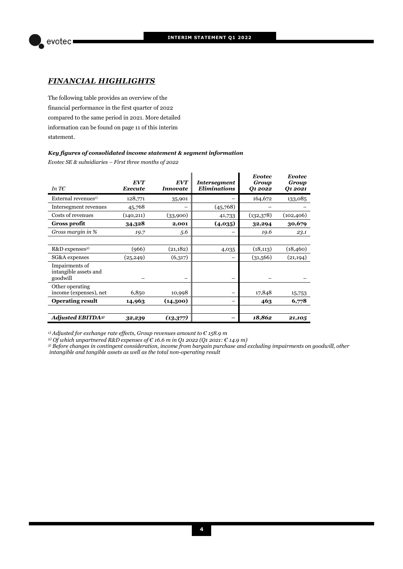

## *FINANCIAL HIGHLIGHTS*

The following table provides an overview of the financial performance in the first quarter of 2022 compared to the same period in 2021. More detailed information can be found on page 11 of this interim statement.

#### *Key figures of consolidated income statement & segment information*

*Evotec SE & subsidiaries – First three months of 2022* 

| In T $\epsilon$                                     | <b>EVT</b><br>Execute | <b>EVT</b><br>Innovate | <b>Intersegment</b><br><b>Eliminations</b> | <b>Evotec</b><br>Group<br>Q1 2022 | <b>Evotec</b><br>Group<br>Q1 2021 |
|-----------------------------------------------------|-----------------------|------------------------|--------------------------------------------|-----------------------------------|-----------------------------------|
| External revenues <sup>1)</sup>                     | 128,771               | 35,901                 |                                            | 164,672                           | 133,085                           |
| Intersegment revenues                               | 45,768                |                        | (45,768)                                   |                                   |                                   |
| Costs of revenues                                   | (140, 211)            | (33,900)               | 41,733                                     | (132,378)                         | (102, 406)                        |
| <b>Gross profit</b>                                 | 34,328                | 2,001                  | (4,035)                                    | 32,294                            | 30,679                            |
| Gross margin in %                                   | 19.7                  | 5.6                    |                                            | 19.6                              | 23.1                              |
|                                                     |                       |                        |                                            |                                   |                                   |
| R&D expenses <sup>2)</sup>                          | (966)                 | (21, 182)              | 4,035                                      | (18, 113)                         | (18, 460)                         |
| SG&A expenses                                       | (25, 249)             | (6,317)                |                                            | (31,566)                          | (21, 194)                         |
| Impairments of<br>intangible assets and<br>goodwill |                       |                        |                                            |                                   |                                   |
| Other operating<br>income (expenses), net           | 6,850                 | 10,998                 |                                            | 17,848                            | 15,753                            |
| <b>Operating result</b>                             | 14,963                | (14,500)               |                                            | 463                               | 6,778                             |
|                                                     |                       |                        |                                            |                                   |                                   |
| <b>Adjusted EBITDA3)</b>                            | 32,239                | (13, 377)              |                                            | 18,862                            | 21,105                            |

*1) Adjusted for exchange rate effects, Group revenues amount to € 158.9 m* 

*2) Of which unpartnered R&D expenses of € 16.6 m in Q1 2022 (Q1 2021: € 14.9 m)*

*3) Before changes in contingent consideration, income from bargain purchase and excluding impairments on goodwill, other intangible and tangible assets as well as the total non-operating result*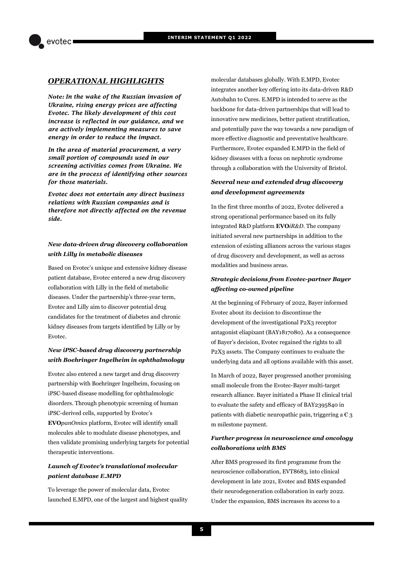## *OPERATIONAL HIGHLIGHTS*

*Note: In the wake of the Russian invasion of Ukraine, rising energy prices are affecting Evotec. The likely development of this cost increase is reflected in our guidance, and we are actively implementing measures to save energy in order to reduce the impact.* 

*In the area of material procurement, a very small portion of compounds used in our screening activities comes from Ukraine. We are in the process of identifying other sources for those materials.* 

*Evotec does not entertain any direct business relations with Russian companies and is therefore not directly affected on the revenue side.* 

## *New data-driven drug discovery collaboration with Lilly in metabolic diseases*

Based on Evotec's unique and extensive kidney disease patient database, Evotec entered a new drug discovery collaboration with Lilly in the field of metabolic diseases. Under the partnership's three-year term, Evotec and Lilly aim to discover potential drug candidates for the treatment of diabetes and chronic kidney diseases from targets identified by Lilly or by Evotec.

## *New iPSC-based drug discovery partnership with Boehringer Ingelheim in ophthalmology*

Evotec also entered a new target and drug discovery partnership with Boehringer Ingelheim, focusing on iPSC-based disease modelling for ophthalmologic disorders. Through phenotypic screening of human iPSC-derived cells, supported by Evotec's

**EVO***panOmics* platform, Evotec will identify small molecules able to modulate disease phenotypes, and then validate promising underlying targets for potential therapeutic interventions.

## *Launch of Evotec's translational molecular patient database E.MPD*

To leverage the power of molecular data, Evotec launched E.MPD, one of the largest and highest quality molecular databases globally. With E.MPD, Evotec integrates another key offering into its data-driven R&D Autobahn to Cures. E.MPD is intended to serve as the backbone for data-driven partnerships that will lead to innovative new medicines, better patient stratification, and potentially pave the way towards a new paradigm of more effective diagnostic and preventative healthcare. Furthermore, Evotec expanded E.MPD in the field of kidney diseases with a focus on nephrotic syndrome through a collaboration with the University of Bristol.

## *Several new and extended drug discovery and development agreements*

In the first three months of 2022, Evotec delivered a strong operational performance based on its fully integrated R&D platform **EVO***iR&D*. The company initiated several new partnerships in addition to the extension of existing alliances across the various stages of drug discovery and development, as well as across modalities and business areas.

## *Strategic decisions from Evotec-partner Bayer affecting co-owned pipeline*

At the beginning of February of 2022, Bayer informed Evotec about its decision to discontinue the development of the investigational P2X3 receptor antagonist eliapixant (BAY1817080). As a consequence of Bayer's decision, Evotec regained the rights to all P2X3 assets. The Company continues to evaluate the underlying data and all options available with this asset.

In March of 2022, Bayer progressed another promising small molecule from the Evotec-Bayer multi-target research alliance. Bayer initiated a Phase II clinical trial to evaluate the safety and efficacy of BAY2395840 in patients with diabetic neuropathic pain, triggering a  $\epsilon_3$ m milestone payment.

## *Further progress in neuroscience and oncology collaborations with BMS*

After BMS progressed its first programme from the neuroscience collaboration, EVT8683, into clinical development in late 2021, Evotec and BMS expanded their neurodegeneration collaboration in early 2022. Under the expansion, BMS increases its access to a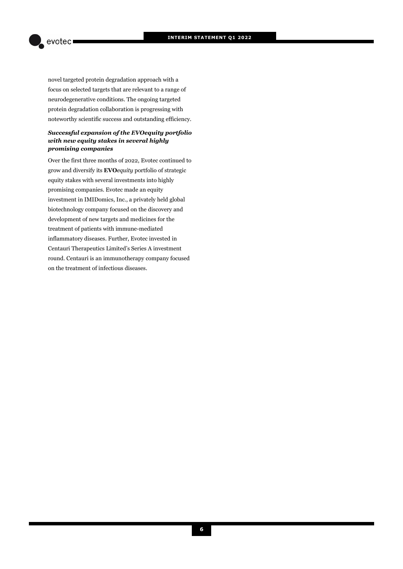evotec

novel targeted protein degradation approach with a focus on selected targets that are relevant to a range of neurodegenerative conditions. The ongoing targeted protein degradation collaboration is progressing with noteworthy scientific success and outstanding efficiency.

#### *Successful expansion of the EVOequity portfolio with new equity stakes in several highly promising companies*

Over the first three months of 2022, Evotec continued to grow and diversify its **EVO***equity* portfolio of strategic equity stakes with several investments into highly promising companies. Evotec made an equity investment in IMIDomics, Inc., a privately held global biotechnology company focused on the discovery and development of new targets and medicines for the treatment of patients with immune-mediated inflammatory diseases. Further, Evotec invested in Centauri Therapeutics Limited's Series A investment round. Centauri is an immunotherapy company focused on the treatment of infectious diseases.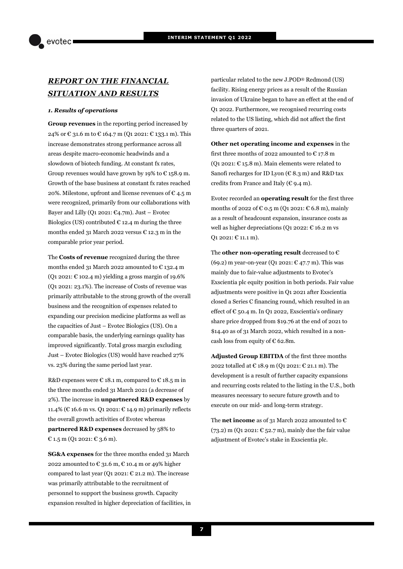# *REPORT ON THE FINANCIAL SITUATION AND RESULTS*

#### *1. Results of operations*

**Group revenues** in the reporting period increased by 24% or € 31.6 m to € 164.7 m (Q1 2021: € 133.1 m). This increase demonstrates strong performance across all areas despite macro-economic headwinds and a slowdown of biotech funding. At constant fx rates, Group revenues would have grown by 19% to  $\epsilon$  158.9 m. Growth of the base business at constant fx rates reached 20%. Milestone, upfront and license revenues of  $\epsilon$  4.5 m were recognized, primarily from our collaborations with Bayer and Lilly (Q1 2021:  $\mathfrak{C}_4$ .7m). Just – Evotec Biologics (US) contributed  $\epsilon$  12.4 m during the three months ended 31 March 2022 versus  $\epsilon$  12.3 m in the comparable prior year period.

The **Costs of revenue** recognized during the three months ended 31 March 2022 amounted to € 132.4 m (Q1 2021:  $\epsilon$  102.4 m) yielding a gross margin of 19.6% (Q1 2021: 23.1%). The increase of Costs of revenue was primarily attributable to the strong growth of the overall business and the recognition of expenses related to expanding our precision medicine platforms as well as the capacities of Just – Evotec Biologics (US). On a comparable basis, the underlying earnings quality has improved significantly. Total gross margin excluding Just – Evotec Biologics (US) would have reached 27% vs. 23% during the same period last year.

R&D expenses were  $\epsilon$  18.1 m, compared to  $\epsilon$  18.5 m in the three months ended 31 March 2021 (a decrease of 2%). The increase in **unpartnered R&D expenses** by 11.4% (€ 16.6 m vs. Q1 2021: € 14.9 m) primarily reflects the overall growth activities of Evotec whereas **partnered R&D expenses** decreased by 58% to € 1.5 m (Q1 2021: € 3.6 m).

**SG&A expenses** for the three months ended 31 March 2022 amounted to  $\epsilon$  31.6 m,  $\epsilon$  10.4 m or 49% higher compared to last year (Q1 2021:  $\epsilon$  21.2 m). The increase was primarily attributable to the recruitment of personnel to support the business growth. Capacity expansion resulted in higher depreciation of facilities, in particular related to the new J.POD® Redmond (US) facility. Rising energy prices as a result of the Russian invasion of Ukraine began to have an effect at the end of Q1 2022. Furthermore, we recognised recurring costs related to the US listing, which did not affect the first three quarters of 2021.

**Other net operating income and expenses** in the first three months of 2022 amounted to  $\epsilon$  17.8 m (Q1 2021:  $\text{\large (C 15.8 m)}$ . Main elements were related to Sanofi recharges for ID Lyon ( $\in$  8.3 m) and R&D tax credits from France and Italy ( $\epsilon$  9.4 m).

Evotec recorded an **operating result** for the first three months of 2022 of  $\epsilon$  0.5 m (Q1 2021:  $\epsilon$  6.8 m), mainly as a result of headcount expansion, insurance costs as well as higher depreciations (Q1 2022:  $\epsilon$  16.2 m vs Q1 2021: € 11.1 m).

The **other non-operating result** decreased to € (69.2) m year-on-year (Q1 2021: € 47.7 m). This was mainly due to fair-value adjustments to Evotec's Exscientia plc equity position in both periods. Fair value adjustments were positive in Q1 2021 after Exscientia closed a Series C financing round, which resulted in an effect of  $\epsilon$  50.4 m. In Q1 2022, Exscientia's ordinary share price dropped from \$19.76 at the end of 2021 to \$14.40 as of 31 March 2022, which resulted in a noncash loss from equity of  $\epsilon$  62.8m.

**Adjusted Group EBITDA** of the first three months 2022 totalled at € 18.9 m (Q1 2021: € 21.1 m). The development is a result of further capacity expansions and recurring costs related to the listing in the U.S., both measures necessary to secure future growth and to execute on our mid- and long-term strategy.

The **net income** as of 31 March 2022 amounted to  $\epsilon$ (73.2) m (Q1 2021:  $\text{E}$  52.7 m), mainly due the fair value adjustment of Evotec's stake in Exscientia plc.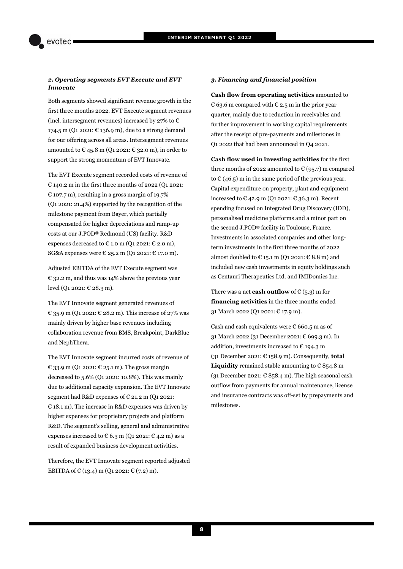#### *2. Operating segments EVT Execute and EVT Innovate*

Both segments showed significant revenue growth in the first three months 2022. EVT Execute segment revenues (incl. intersegment revenues) increased by 27% to  $\epsilon$ 174.5 m (Q1 2021:  $\epsilon$  136.9 m), due to a strong demand for our offering across all areas. Intersegment revenues amounted to  $\epsilon$  45.8 m (Q1 2021:  $\epsilon$  32.0 m), in order to support the strong momentum of EVT Innovate.

The EVT Execute segment recorded costs of revenue of € 140.2 m in the first three months of 2022 (Q1 2021:  $\epsilon$  107.7 m), resulting in a gross margin of 19.7% (Q1 2021: 21.4%) supported by the recognition of the milestone payment from Bayer, which partially compensated for higher depreciations and ramp-up costs at our J.POD® Redmond (US) facility. R&D expenses decreased to  $\epsilon$  1.0 m (Q1 2021:  $\epsilon$  2.0 m), SG&A expenses were  $\in$  25.2 m (Q1 2021:  $\in$  17.0 m).

Adjusted EBITDA of the EVT Execute segment was € 32.2 m, and thus was 14% above the previous year level (Q1 2021: € 28.3 m).

The EVT Innovate segment generated revenues of € 35.9 m (Q1 2021: € 28.2 m). This increase of 27% was mainly driven by higher base revenues including collaboration revenue from BMS, Breakpoint, DarkBlue and NephThera.

The EVT Innovate segment incurred costs of revenue of € 33.9 m (Q1 2021: € 25.1 m). The gross margin decreased to 5.6% (Q1 2021: 10.8%). This was mainly due to additional capacity expansion. The EVT Innovate segment had R&D expenses of  $E$  21.2 m (Q1 2021: € 18.1 m). The increase in R&D expenses was driven by higher expenses for proprietary projects and platform R&D. The segment's selling, general and administrative expenses increased to  $\epsilon$  6.3 m (Q1 2021:  $\epsilon$  4.2 m) as a result of expanded business development activities.

Therefore, the EVT Innovate segment reported adjusted EBITDA of  $\mathcal{C}(13.4)$  m (Q1 2021:  $\mathcal{C}(7.2)$  m).

#### *3. Financing and financial position*

**Cash flow from operating activities** amounted to € 63.6 m compared with € 2.5 m in the prior year quarter, mainly due to reduction in receivables and further improvement in working capital requirements after the receipt of pre-payments and milestones in Q1 2022 that had been announced in Q4 2021.

**Cash flow used in investing activities** for the first three months of 2022 amounted to  $\epsilon$  (95.7) m compared to  $\epsilon$  (46.5) m in the same period of the previous year. Capital expenditure on property, plant and equipment increased to  $\epsilon$  42.9 m (Q1 2021:  $\epsilon$  36.3 m). Recent spending focused on Integrated Drug Discovery (IDD), personalised medicine platforms and a minor part on the second J.POD® facility in Toulouse, France. Investments in associated companies and other longterm investments in the first three months of 2022 almost doubled to  $\in$  15.1 m (Q1 2021:  $\in$  8.8 m) and included new cash investments in equity holdings such as Centauri Therapeutics Ltd. and IMIDomics Inc.

There was a net **cash outflow** of  $\in$  (5.3) m for **financing activities** in the three months ended 31 March 2022 (Q1 2021: € 17.9 m).

Cash and cash equivalents were  $\epsilon$  660.5 m as of 31 March 2022 (31 December 2021: € 699.3 m). In addition, investments increased to  $\epsilon$  194.3 m (31 December 2021: € 158.9 m). Consequently, **total Liquidity** remained stable amounting to  $\epsilon$  854.8 m (31 December 2021:  $\epsilon$  858.4 m). The high seasonal cash outflow from payments for annual maintenance, license and insurance contracts was off-set by prepayments and milestones.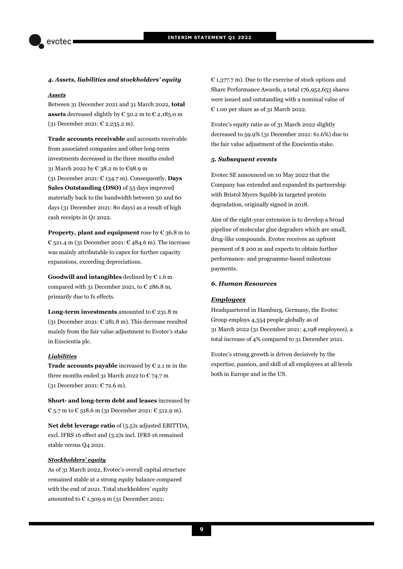#### *4. Assets, liabilities and stockholders' equity*

#### *Assets*

Between 31 December 2021 and 31 March 2022, **total assets** decreased slightly by  $\epsilon$  50.2 m to  $\epsilon$  2,185.0 m (31 December 2021: € 2,235.2 m).

**Trade accounts receivable** and accounts receivable from associated companies and other long-term investments decreased in the three months ended 31 March 2022 by € 38.2 m to €98.9 m (31 December 2021: € 134.7 m). Consequently, **Days Sales Outstanding (DSO)** of 55 days improved materially back to the bandwidth between 50 and 60 days (31 December 2021: 80 days) as a result of high cash receipts in Q1 2022.

**Property, plant and equipment** rose by € 36.8 m to  $\epsilon$  521.4 m (31 December 2021:  $\epsilon$  484.6 m). The increase was mainly attributable to capex for further capacity expansions, exceeding depreciations.

**Goodwill and intangibles** declined by € 1.6 m compared with 31 December 2021, to  $\epsilon$  286.8 m, primarily due to fx effects.

**Long-term investments** amounted to € 231.8 m (31 December 2021:  $\epsilon$  281.8 m). This decrease resulted mainly from the fair value adjustment to Evotec's stake in Exscientia plc.

#### *Liabilities*

**Trade accounts payable** increased by  $\epsilon$  2.1 m in the three months ended 31 March 2022 to  $\epsilon$  74.7 m (31 December 2021: € 72.6 m).

**Short- and long-term debt and leases** increased by € 5.7 m to € 518.6 m (31 December 2021: € 512.9 m).

**Net debt leverage ratio** of (5.5)x adjusted EBITTDA, excl. IFRS 16 effect and (3.2)x incl. IFRS 16 remained stable versus Q4 2021.

#### *Stockholders' equity*

As of 31 March 2022, Evotec's overall capital structure remained stable at a strong equity balance compared with the end of 2021. Total stockholders' equity amounted to  $\epsilon$  1,309.9 m (31 December 2021:

 $E$  1,377.7 m). Due to the exercise of stock options and Share Performance Awards, a total 176,952,653 shares were issued and outstanding with a nominal value of € 1.00 per share as of 31 March 2022.

Evotec's equity ratio as of 31 March 2022 slightly decreased to 59.9% (31 December 2021: 61.6%) due to the fair value adjustment of the Exscientia stake.

#### *5. Subsequent events*

Evotec SE announced on 10 May 2022 that the Company has extended and expanded its partnership with Bristol Myers Squibb in targeted protein degradation, originally signed in 2018.

Aim of the eight-year extension is to develop a broad pipeline of molecular glue degraders which are small, drug-like compounds. Evotec receives an upfront payment of \$ 200 m and expects to obtain further performance- and programme-based milestone payments.

#### *6. Human Resources*

#### *Employees*

Headquartered in Hamburg, Germany, the Evotec Group employs 4,354 people globally as of 31 March 2022 (31 December 2021: 4,198 employees), a total increase of 4% compared to 31 December 2021.

Evotec's strong growth is driven decisively by the expertise, passion, and skill of all employees at all levels both in Europe and in the US.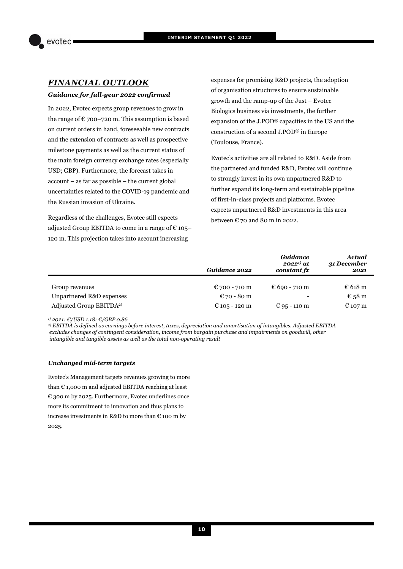

# *FINANCIAL OUTLOOK*

#### *Guidance for full-year 2022 confirmed*

In 2022, Evotec expects group revenues to grow in the range of  $\mathfrak{C}$  700–720 m. This assumption is based on current orders in hand, foreseeable new contracts and the extension of contracts as well as prospective milestone payments as well as the current status of the main foreign currency exchange rates (especially USD; GBP). Furthermore, the forecast takes in account – as far as possible – the current global uncertainties related to the COVID-19 pandemic and the Russian invasion of Ukraine.

Regardless of the challenges, Evotec still expects adjusted Group EBITDA to come in a range of  $\epsilon$  105– 120 m. This projection takes into account increasing

expenses for promising R&D projects, the adoption of organisation structures to ensure sustainable growth and the ramp-up of the Just – Evotec Biologics business via investments, the further expansion of the J.POD® capacities in the US and the construction of a second J.POD® in Europe (Toulouse, France).

Evotec's activities are all related to R&D. Aside from the partnered and funded R&D, Evotec will continue to strongly invest in its own unpartnered R&D to further expand its long-term and sustainable pipeline of first-in-class projects and platforms. Evotec expects unpartnered R&D investments in this area between  $\epsilon$  70 and 80 m in 2022.

|                                     | Guidance 2022 | <b>Guidance</b><br>$2022^{1)}$ at<br>constant fx | Actual<br>31 December<br>2021 |
|-------------------------------------|---------------|--------------------------------------------------|-------------------------------|
| Group revenues                      | € 700 - 710 m | € 690 - 710 m                                    | $\epsilon$ 618 m              |
| Unpartnered R&D expenses            | € 70 - 80 m   |                                                  | € 58 m                        |
| Adjusted Group EBITDA <sup>2)</sup> | € 105 - 120 m | € 95 - 110 m                                     | € 107 m                       |

*1) 2021: €/USD 1.18; €/GBP 0.86* 

*2) EBITDA is defined as earnings before interest, taxes, depreciation and amortisation of intangibles. Adjusted EBITDA excludes changes of contingent consideration, income from bargain purchase and impairments on goodwill, other intangible and tangible assets as well as the total non-operating result* 

#### *Unchanged mid-term targets*

Evotec's Management targets revenues growing to more than  $\epsilon$  1,000 m and adjusted EBITDA reaching at least € 300 m by 2025. Furthermore, Evotec underlines once more its commitment to innovation and thus plans to increase investments in R&D to more than  $\epsilon$  100 m by 2025.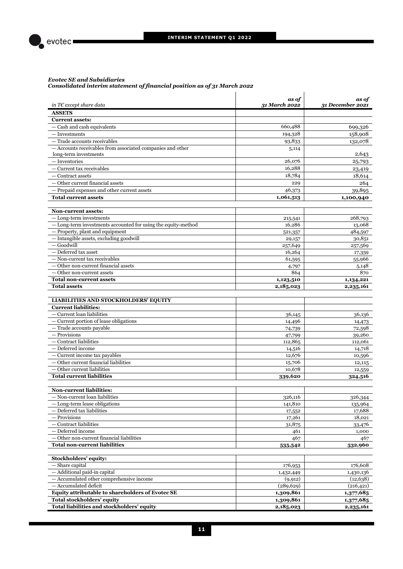$\mathbf{I}$ 



#### *Evotec SE and Subsidiaries Consolidated interim statement of financial position as of 31 March 2022*

| in T $\epsilon$ except share data                                          | as of<br>31 March 2022 | as of<br>31 December 2021 |
|----------------------------------------------------------------------------|------------------------|---------------------------|
| <b>ASSETS</b>                                                              |                        |                           |
| <b>Current assets:</b>                                                     |                        |                           |
| - Cash and cash equivalents                                                | 660,488                | 699,326                   |
| — Investments                                                              | 194,328                | 158,908                   |
| - Trade accounts receivables                                               | 93,833                 | 132,078                   |
| - Accounts receivables from associated companies and other                 | 5,114                  |                           |
| long-term investments                                                      |                        | 2,643                     |
| - Inventories                                                              | 26,076                 | 25,793                    |
| - Current tax receivables                                                  | 16,288                 | 23,419                    |
| — Contract assets                                                          | 18,784                 | 18,614                    |
| - Other current financial assets                                           | 229                    | 264                       |
| - Prepaid expenses and other current assets                                | 46,373                 | 39,895                    |
| <b>Total current assets</b>                                                | 1,061,513              | 1,100,940                 |
|                                                                            |                        |                           |
| <b>Non-current assets:</b>                                                 |                        |                           |
| $-$ Long-term investments                                                  | 215,541                | 268,793                   |
| - Long-term investments accounted for using the equity-method              | 16,286                 | 13,068                    |
| - Property, plant and equipment<br>- Intangible assets, excluding goodwill | 521,357                | 484,597<br>30,851         |
| - Goodwill                                                                 | 29,157<br>257,649      | 257,569                   |
| — Deferred tax asset                                                       | 16,264                 | 17,359                    |
| - Non-current tax receivables                                              | 61,595                 | 55,966                    |
| - Other non-current financial assets                                       | 4,797                  | 5,148                     |
| - Other non-current assets                                                 | 864                    | 870                       |
| <b>Total non-current assets</b>                                            | 1,123,510              | 1,134,221                 |
| <b>Total assets</b>                                                        | 2,185,023              | 2,235,161                 |
|                                                                            |                        |                           |
| <b>LIABILITIES AND STOCKHOLDERS' EQUITY</b>                                |                        |                           |
| <b>Current liabilities:</b>                                                |                        |                           |
| $-$ Current loan liabilities                                               | 36,145                 | 36,136                    |
| - Current portion of lease obligations                                     | 14,496                 | 14,473                    |
| - Trade accounts payable                                                   | 74,739                 | 72,598                    |
| - Provisions                                                               | 47,799                 | 39,260                    |
| $-$ Contract liabilities                                                   | 112,865                | 112,061                   |
| - Deferred income                                                          | 14,516                 | 14,718                    |
| $-$ Current income tax payables                                            | 12,676                 | 10,596                    |
| - Other current financial liabilities                                      | 15,706                 | 12,115                    |
| - Other current liabilities                                                | 10,678                 | 12,559                    |
| <b>Total current liabilities</b>                                           | 339,620                | 324,516                   |
| <b>Non-current liabilities:</b>                                            |                        |                           |
| - Non-current loan liabilities                                             | 326,116                | 326,344                   |
| $-$ Long-term lease obligations                                            | 141,810                | 135,964                   |
| - Deferred tax liabilities                                                 | 17,552                 | 17,688                    |
| - Provisions                                                               | 17,261                 | 18,021                    |
| $-$ Contract liabilities                                                   | 31,875                 | 33,476                    |
| - Deferred income                                                          | 461                    | 1,000                     |
| $-$ Other non-current financial liabilities                                | 467                    | 467                       |
| <b>Total non-current liabilities</b>                                       | 535,542                | 532,960                   |
|                                                                            |                        |                           |
| Stockholders' equity:                                                      |                        |                           |
| $-$ Share capital                                                          | 176,953                | 176,608                   |
| - Additional paid-in capital                                               | 1,432,449              | 1,430,136                 |
| - Accumulated other comprehensive income                                   | (9, 912)               | (12, 638)                 |
| - Accumulated deficit                                                      | (289, 629)             | (216, 421)                |
| Equity attributable to shareholders of Evotec SE                           | 1,309,861              | 1,377,685                 |
| Total stockholders' equity                                                 | 1,309,861              | 1,377,685                 |
| Total liabilities and stockholders' equity                                 | 2,185,023              | 2,235,161                 |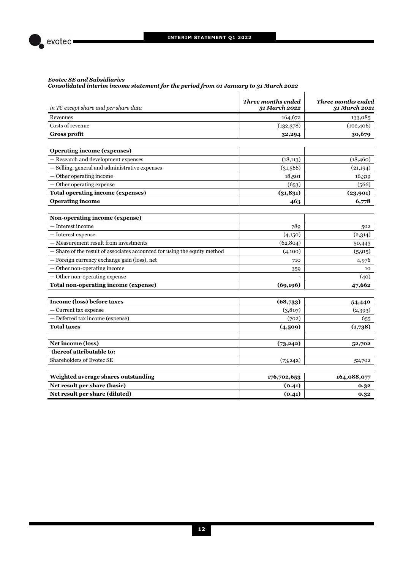

#### *Evotec SE and Subsidiaries*

*Consolidated interim income statement for the period from 01 January to 31 March 2022* 

| in T $\epsilon$ except share and per share data                           | Three months ended<br>31 March 2022 | <b>Three months ended</b><br>31 March 2021 |
|---------------------------------------------------------------------------|-------------------------------------|--------------------------------------------|
| Revenues                                                                  | 164,672                             | 133,085                                    |
| Costs of revenue                                                          | (132, 378)                          | (102, 406)                                 |
| <b>Gross profit</b>                                                       | 32,294                              | 30,679                                     |
|                                                                           |                                     |                                            |
| <b>Operating income (expenses)</b>                                        |                                     |                                            |
| - Research and development expenses                                       | (18, 113)                           | (18, 460)                                  |
| - Selling, general and administrative expenses                            | (31,566)                            | (21, 194)                                  |
| $\overline{-}$ Other operating income                                     | 18,501                              | 16,319                                     |
| Other operating expense                                                   | (653)                               | (566)                                      |
| <b>Total operating income (expenses)</b>                                  | (31, 831)                           | (23,901)                                   |
| <b>Operating income</b>                                                   | 463                                 | 6,778                                      |
|                                                                           |                                     |                                            |
| Non-operating income (expense)                                            |                                     |                                            |
| — Interest income                                                         | 789                                 | 502                                        |
| - Interest expense                                                        | (4,150)                             | (2,314)                                    |
| - Measurement result from investments                                     | (62, 804)                           | 50,443                                     |
| - Share of the result of associates accounted for using the equity method | (4,100)                             | (5, 915)                                   |
| - Foreign currency exchange gain (loss), net                              | 710                                 | 4,976                                      |
| - Other non-operating income                                              | 359                                 | 10                                         |
| - Other non-operating expense                                             |                                     | (40)                                       |
| Total non-operating income (expense)                                      | (69, 196)                           | 47,662                                     |
|                                                                           |                                     |                                            |
| Income (loss) before taxes                                                | (68,733)                            | 54,440                                     |
| Current tax expense                                                       | (3,807)                             | (2,393)                                    |
| - Deferred tax income (expense)                                           | (702)                               | 655                                        |
| <b>Total taxes</b>                                                        | (4,509)                             | (1,738)                                    |
| Net income (loss)                                                         | (73, 242)                           | 52,702                                     |
| thereof attributable to:                                                  |                                     |                                            |
| Shareholders of Evotec SE                                                 | (73, 242)                           | 52,702                                     |
| Weighted average shares outstanding                                       | 176,702,653                         | 164,088,077                                |
| Net result per share (basic)                                              | (0.41)                              | 0.32                                       |
| Net result per share (diluted)                                            | (0.41)                              | 0.32                                       |